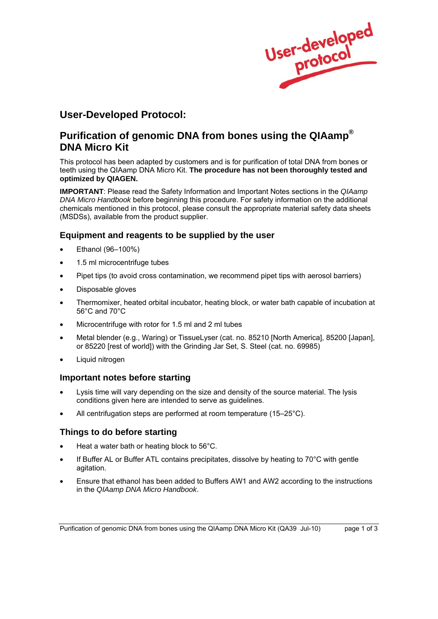User-developed

## **User-Developed Protocol:**

# **Purification of genomic DNA from bones using the QIAamp® DNA Micro Kit**

This protocol has been adapted by customers and is for purification of total DNA from bones or teeth using the QIAamp DNA Micro Kit. **The procedure has not been thoroughly tested and optimized by QIAGEN.** 

**IMPORTANT**: Please read the Safety Information and Important Notes sections in the *QIAamp DNA Micro Handbook* before beginning this procedure. For safety information on the additional chemicals mentioned in this protocol, please consult the appropriate material safety data sheets (MSDSs), available from the product supplier.

## **Equipment and reagents to be supplied by the user**

- Ethanol (96–100%)
- 1.5 ml microcentrifuge tubes
- Pipet tips (to avoid cross contamination, we recommend pipet tips with aerosol barriers)
- Disposable gloves
- Thermomixer, heated orbital incubator, heating block, or water bath capable of incubation at 56°C and 70°C
- Microcentrifuge with rotor for 1.5 ml and 2 ml tubes
- Metal blender (e.g., Waring) or TissueLyser (cat. no. 85210 [North America], 85200 [Japan], or 85220 [rest of world]) with the Grinding Jar Set, S. Steel (cat. no. 69985)
- Liquid nitrogen

#### **Important notes before starting**

- Lysis time will vary depending on the size and density of the source material. The lysis conditions given here are intended to serve as guidelines.
- All centrifugation steps are performed at room temperature (15–25°C).

#### **Things to do before starting**

- Heat a water bath or heating block to 56°C.
- If Buffer AL or Buffer ATL contains precipitates, dissolve by heating to 70°C with gentle agitation.
- Ensure that ethanol has been added to Buffers AW1 and AW2 according to the instructions in the *QIAamp DNA Micro Handbook*.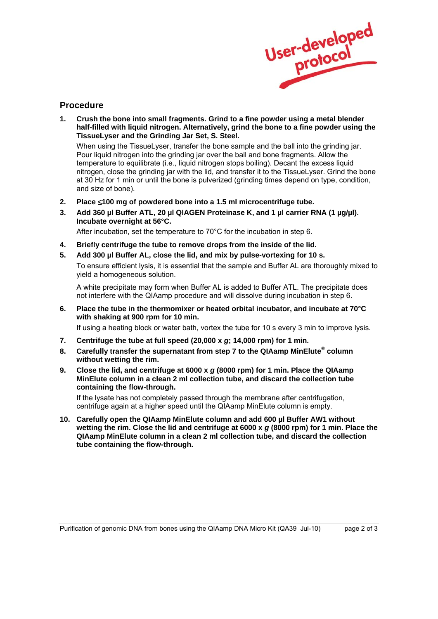

## **Procedure**

**1. Crush the bone into small fragments. Grind to a fine powder using a metal blender half-filled with liquid nitrogen. Alternatively, grind the bone to a fine powder using the TissueLyser and the Grinding Jar Set, S. Steel.** 

 When using the TissueLyser, transfer the bone sample and the ball into the grinding jar. Pour liquid nitrogen into the grinding jar over the ball and bone fragments. Allow the temperature to equilibrate (i.e., liquid nitrogen stops boiling). Decant the excess liquid nitrogen, close the grinding jar with the lid, and transfer it to the TissueLyser. Grind the bone at 30 Hz for 1 min or until the bone is pulverized (grinding times depend on type, condition, and size of bone).

- **2. Place** ≤**100 mg of powdered bone into a 1.5 ml microcentrifuge tube.**
- 3. Add 360 µl Buffer ATL, 20 µl QIAGEN Proteinase K, and 1 µl carrier RNA (1 µg/µl). **Incubate overnight at 56°C.**

After incubation, set the temperature to 70°C for the incubation in step 6.

- **4. Briefly centrifuge the tube to remove drops from the inside of the lid.**
- **5. Add 300 µl Buffer AL, close the lid, and mix by pulse-vortexing for 10 s.**

 To ensure efficient lysis, it is essential that the sample and Buffer AL are thoroughly mixed to yield a homogeneous solution.

 A white precipitate may form when Buffer AL is added to Buffer ATL. The precipitate does not interfere with the QIAamp procedure and will dissolve during incubation in step 6.

**6. Place the tube in the thermomixer or heated orbital incubator, and incubate at 70°C with shaking at 900 rpm for 10 min.** 

If using a heating block or water bath, vortex the tube for 10 s every 3 min to improve lysis.

- **7. Centrifuge the tube at full speed (20,000 x** *g***; 14,000 rpm) for 1 min.**
- **8. Carefully transfer the supernatant from step 7 to the QIAamp MinElute® column without wetting the rim.**
- **9. Close the lid, and centrifuge at 6000 x** *g* **(8000 rpm) for 1 min. Place the QIAamp MinElute column in a clean 2 ml collection tube, and discard the collection tube containing the flow-through.**

 If the lysate has not completely passed through the membrane after centrifugation, centrifuge again at a higher speed until the QIAamp MinElute column is empty.

**10. Carefully open the QIAamp MinElute column and add 600 µl Buffer AW1 without wetting the rim. Close the lid and centrifuge at 6000 x** *g* **(8000 rpm) for 1 min. Place the QIAamp MinElute column in a clean 2 ml collection tube, and discard the collection tube containing the flow-through.**